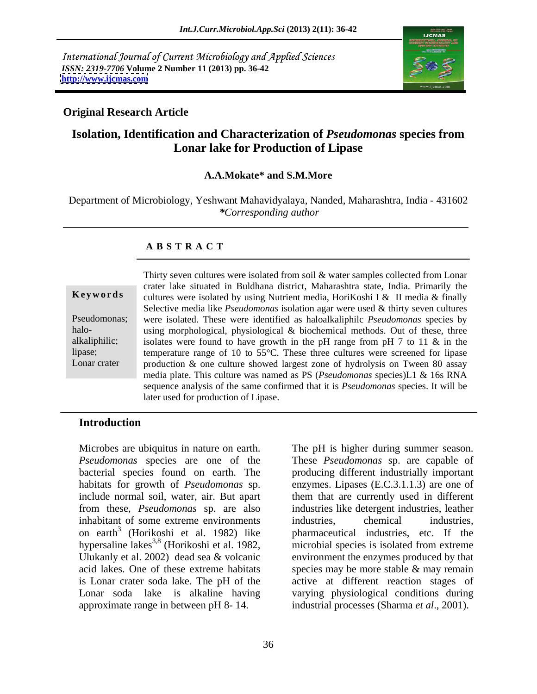International Journal of Current Microbiology and Applied Sciences *ISSN: 2319-7706* **Volume 2 Number 11 (2013) pp. 36-42 <http://www.ijcmas.com>**



# **Original Research Article**

# **Isolation, Identification and Characterization of** *Pseudomonas* **species from Lonar lake for Production of Lipase**

### **A.A.Mokate\* and S.M.More**

Department of Microbiology, Yeshwant Mahavidyalaya, Nanded, Maharashtra, India - 431602 *\*Corresponding author* 

### **A B S T R A C T**

**Keywords** cultures were isolated by using Nutrient media, HoriKoshi I & II media & finally Pseudomonas; were isolated. These were identified as haloalkaliphilc *Pseudomonas* species by halo-<br>
using morphological, physiological & biochemical methods. Out of these, three alkaliphilic; isolates were found to have growth in the pH range from pH 7 to 11 & in the lipase; temperature range of 10 to 55°C. These three cultures were screened for lipase Lonar crater heroduction & one culture showed largest zone of hydrolysis on Tween 80 assay Thirty seven cultures were isolated from soil & water samples collected from Lonar crater lake situated in Buldhana district, Maharashtra state, India. Primarily the Selective media like *Pseudomonas* isolation agar were used & thirty seven cultures media plate. This culture was named as PS (*Pseudomonas* species)L1 & 16s RNA sequence analysis of the same confirmed that it is *Pseudomonas* species. It will be later used for production of Lipase.

### **Introduction**

Microbes are ubiquitus in nature on earth. The pH is higher during summer season. *Pseudomonas* species are one of the These *Pseudomonas* sp. are capable of bacterial species found on earth. The producing different industrially important habitats for growth of *Pseudomonas* sp. enzymes. Lipases (E.C.3.1.1.3) are one of include normal soil, water, air. But apart them that are currently used in different from these, *Pseudomonas* sp. are also industries like detergentindustries, leather inhabitant of some extreme environments industries, chemical industries, on earth<sup>3</sup> (Horikoshi et al. 1982) like pharmaceutical industries, etc. If the hypersaline lakes<sup>3,8</sup> (Horikoshi et al. 1982, Ulukanly et al. 2002) dead sea & volcanic environment the enzymes produced by that acid lakes. One of these extreme habitats species may be more stable & may remain is Lonar crater soda lake. The pH of the active at different reaction stages of Lonar soda lake is alkaline having varying physiological conditions during approximate range in between pH 8- 14.

(Horikoshi et al. 1982) like pharmaceutical industries, etc. If the industries, chemical industries, microbial species is isolated from extreme industrial processes (Sharma *et al*., 2001).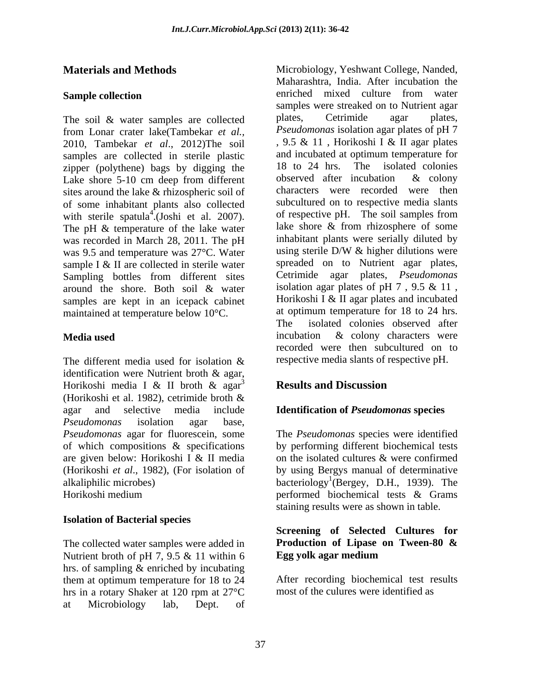The soil & water samples are collected plates, Cetrimide agar plates, 2010, Tambekar *et al*., 2012)The soil samples are collected in sterile plastic and incubated at optimum temperature for<br>zinner (polythene) has by discing the 18 to 24 hrs. The isolated colonies zipper (polythene) bags by digging the  $\frac{18}{18}$  to 24 hrs. The isolated colonies I ake shore 5-10 cm deep from different observed after incubation & colony sites around the lake & rhizospheric soil of was recorded in March 28, 2011. The pH inhabitant plants were serially diluted by<br>was 9.5 and temperature was 27°C. Water using sterile D/W & higher dilutions were was 9.5 and temperature was 27°C. Water sample I & II are collected in sterile water around the shore. Both soil & water samples are kept in an icepack cabinet maintained at temperature below 10°C. at of<br>The

The different media used for isolation  $\&$  respective media slants of respective pH. identification were Nutrient broth & agar, Horikoshi media I & II broth & agar<sup>3</sup> Results and Discussion (Horikoshi et al. 1982), cetrimide broth & agar and selective media include **Identification of** *Pseudomonas* **species** *Pseudomonas* isolation agar base, *Pseudomonas* agar for fluorescein, some The *Pseudomonas* species were identified of which compositions & specifications by performing different biochemical tests are given below: Horikoshi I & II media (Horikoshi *et al*., 1982), (For isolation of by using Bergys manual of determinative alkaliphilic microbes) bacteriology<sup>1</sup>(Bergey, D.H., 1939). The

## **Isolation of Bacterial species**

The collected water samples were added in **Production of Lipase on Tween-80 &** Nutrient broth of pH 7, 9.5 & 11 within 6 **Egg yolk agar medium** Nutrient broth of pH 7, 9.5 & 11 within 6 hrs. of sampling & enriched by incubating them at optimum temperature for 18 to 24 hrs in a rotary Shaker at 120 rpm at 27°C at Microbiology lab, Dept. of

**Materials and Methods** Microbiology, Yeshwant College, Nanded, **Sample collection Sample collection Sample collection Sample collection Sample collection** from Lonar crater lake(Tambekar *et al.,* Lake shore 5-10 cm deep from different observed after incubation & colony of some inhabitant plants also collected with sterile spatula<sup>4</sup>.(Joshi et al. 2007). of respective pH. The soil samples from  $^{4}$ . (Joshi et al. 2007). of respective pH. The soil samples from with sterile spatula<sup>4</sup>.(Joshi et al. 2007). Of respective pH. The soil samples from<br>The pH & temperature of the lake water lake shore & from rhizosphere of some Sampling bottles from different sites Cetrimide agar plates, *Pseudomonas* **Media used Example 2 COLOGY EXAMPLE 10 COLOGY EXAMPLE 10 COLOGY EXAMPLE 10 COLOGY EXAMPLE 10 COLOGY EXAMPLE 10 COLOGY EXAMPLE 10 COLOGY EXAMPLE 10 COLOGY** Maharashtra, India. After incubation the enriched mixed culture from water samples were streaked on to Nutrient agar plates, Cetrimide agar plates, *Pseudomonas* isolation agar plates of pH 7 , 9.5 & 11 , Horikoshi I & II agar plates and incubated at optimum temperature for 18 to 24 hrs. The isolated colonies observed after incubation & colony characters were recorded were then subcultured on to respective media slants lake shore & from rhizosphere of some inhabitant plants were serially diluted by using sterile D/W & higher dilutions were spreaded on to Nutrient agar plates, Cetrimide agar plates, *Pseudomonas* isolation agar plates of pH 7 , 9.5 & 11 , Horikoshi I & II agar plates and incubated at optimum temperature for 18 to 24 hrs. isolated colonies observed after incubation & colony characters were recorded were then subcultured on to respective media slants of respective pH.

# **Results and Discussion**

Horikoshi medium performed biochemical tests & Grams on the isolated cultures & were confirmed staining results were as shown in table.

### **Screening of Selected Cultures for Production of Lipase on Tween-80 & Egg yolk agar medium**

After recording biochemical test results most of the culures were identified as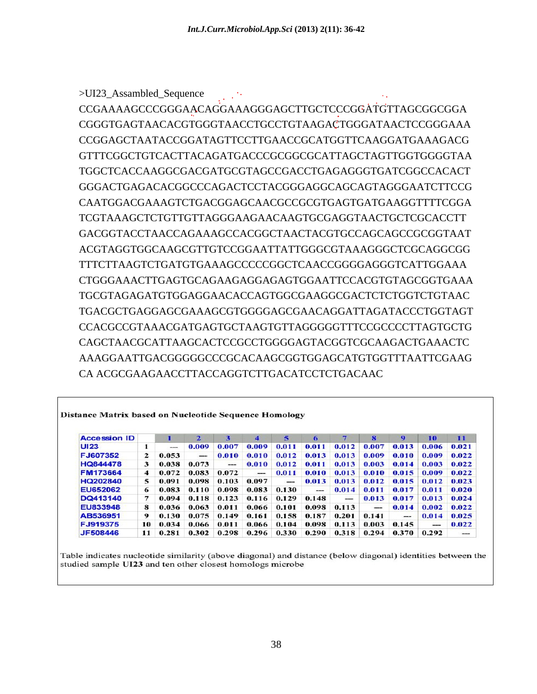>UI23\_Assambled\_Sequence .. CCGAAAAGCCCGGGAACAGGAAAGGGAGCTTGCTCCCGGATGTTAGCGGCGGA CGGGTGAGTAACACGTGGGTAACCTGCCTGTAAGACTGGGATAACTCCGGGAAA CCGGAGCTAATACCGGATAGTTCCTTGAACCGCATGGTTCAAGGATGAAAGACG GTTTCGGCTGTCACTTACAGATGACCCGCGGCGCATTAGCTAGTTGGTGGGGTAA TGGCTCACCAAGGCGACGATGCGTAGCCGACCTGAGAGGGTGATCGGCCACACT GGGACTGAGACACGGCCCAGACTCCTACGGGAGGCAGCAGTAGGGAATCTTCCG CAATGGACGAAAGTCTGACGGAGCAACGCCGCGTGAGTGATGAAGGTTTTCGGA TCGTAAAGCTCTGTTGTTAGGGAAGAACAAGTGCGAGGTAACTGCTCGCACCTT GACGGTACCTAACCAGAAAGCCACGGCTAACTACGTGCCAGCAGCCGCGGTAAT ACGTAGGTGGCAAGCGTTGTCCGGAATTATTGGGCGTAAAGGGCTCGCAGGCGG TTTCTTAAGTCTGATGTGAAAGCCCCCGGCTCAACCGGGGAGGGTCATTGGAAA CTGGGAAACTTGAGTGCAGAAGAGGAGAGTGGAATTCCACGTGTAGCGGTGAAA TGCGTAGAGATGTGGAGGAACACCAGTGGCGAAGGCGACTCTCTGGTCTGTAAC TGACGCTGAGGAGCGAAAGCGTGGGGAGCGAACAGGATTAGATACCCTGGTAGT CCACGCCGTAAACGATGAGTGCTAAGTGTTAGGGGGTTTCCGCCCCTTAGTGCTG CAGCTAACGCATTAAGCACTCCGCCTGGGGAGTACGGTCGCAAGACTGAAACTC AAAGGAATTGACGGGGGCCCGCACAAGCGGTGGAGCATGTGGTTTAATTCGAAG CA ACGCGAAGAACCTTACCAGGTCTTGACATCCTCTGACAAC

| <b>Accession ID</b> |    |       | $\mathbf{2}$ | 3     | 4     | 5     | 6     | 7     | 8                 | 9     | 10       | 11    |
|---------------------|----|-------|--------------|-------|-------|-------|-------|-------|-------------------|-------|----------|-------|
| <b>UI23</b>         | 1  | ---   | 0.009        | 0.007 | 0.009 | 0.011 | 0.011 | 0.012 | 0.007             | 0.013 | 0.006    | 0.021 |
| FJ607352            | 2  | 0.053 | --           | 0.010 | 0.010 | 0.012 | 0.013 | 0.013 | 0.009             | 0.010 | 0.009    | 0.022 |
| <b>HQ844478</b>     | 3  | 0.038 | 0.073        | ---   | 0.010 | 0.012 | 0.011 | 0.013 | 0.003             | 0.014 | 0.003    | 0.022 |
| <b>FM173664</b>     | 4  | 0.072 | 0.083        | 0.072 | ---   | 0.011 | 0.010 | 0.013 | 0.010             | 0.015 | 0.009    | 0.022 |
| HQ202840            | 5  | 0.091 | 0.098        | 0.103 | 0.097 |       | 0.013 | 0.013 | 0.012             | 0.015 | 0.012    | 0.023 |
| <b>EU652062</b>     | 6  | 0.083 | 0.110        | 0.098 | 0.083 | 0.130 | ---   | 0.014 | 0.011             | 0.017 | 0.011    | 0.020 |
| DQ413140            | 7  | 0.094 | 0.118        | 0.123 | 0.116 | 0.129 | 0.148 | --    | 0.013             | 0.017 | 0.013    | 0.024 |
| EU833948            | 8  | 0.036 | 0.063        | 0.011 | 0.066 | 0.101 | 0.098 | 0.113 | $\qquad \qquad -$ | 0.014 | 0.002    | 0.022 |
| AB536951            | 9  | 0.130 | 0.075        | 0.149 | 0.161 | 0.158 | 0.187 | 0.201 | 0.141             | ---   | 0.014    | 0.025 |
| FJ919375            | 10 | 0.034 | 0.066        | 0.011 | 0.066 | 0.104 | 0.098 | 0.113 | 0.003             | 0.145 | $\cdots$ | 0.022 |
| JF508446            | 11 | 0.281 | 0.302        | 0.298 | 0.296 | 0.330 | 0.290 | 0.318 | 0.294             | 0.370 | 0.292    | ---   |

Table indicates nucleotide similarity (above diagonal) and distance (below diagonal) identities between the studied sample UI23 and ten other closest homologs microbe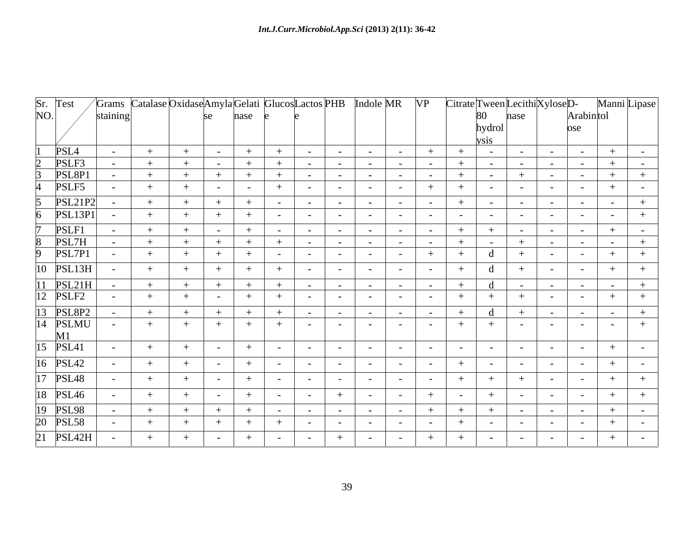|                               |                |          |     | Grams Catalase Oxidase Amyla Gelati Glucos Lactos PHB Indole MR VP |                |                          |            |                          |            |                |            | $Citrate$ Tween Lecithi $Xylose$ |                 |                  |                | Manni Lipase   |
|-------------------------------|----------------|----------|-----|--------------------------------------------------------------------|----------------|--------------------------|------------|--------------------------|------------|----------------|------------|----------------------------------|-----------------|------------------|----------------|----------------|
| Sr. Test<br>NO.               |                | staining |     |                                                                    | nase           |                          |            |                          |            |                |            | 80                               | nase            |                  | Arabintol      |                |
|                               |                |          |     |                                                                    |                |                          |            |                          |            |                |            |                                  |                 |                  | ose            |                |
|                               |                |          |     |                                                                    |                |                          |            |                          |            |                |            |                                  |                 |                  |                |                |
| PSL <sub>4</sub>              |                |          |     |                                                                    |                |                          |            |                          |            |                | $+$        |                                  |                 |                  |                |                |
| PSLF3<br>PSL8P1               |                |          |     |                                                                    | $\sim$         |                          |            |                          |            |                | $\sim$     |                                  | $\sim$          | $\sim$ 100 $\mu$ |                |                |
|                               |                |          |     |                                                                    |                |                          |            |                          |            |                |            | $\sim$ $-$                       | $+$             | $\sim$ $-$       | $\sim$ $-$     | $+$            |
| PSLF5                         |                |          |     |                                                                    | $\sim$ $-$     |                          |            | $\sim$                   | $\sim$     |                |            |                                  | $\sim$          |                  |                |                |
|                               | <b>PSL21P2</b> |          |     |                                                                    |                | $\sim$                   |            |                          | $\sim$     |                |            |                                  | $\sim$          |                  |                |                |
| PSL13P1                       |                |          |     |                                                                    |                |                          |            |                          |            |                |            |                                  |                 |                  |                |                |
| PSLF1                         |                |          |     |                                                                    | $\sim$ $-$     |                          |            |                          |            |                |            |                                  | $\sim 10^{-10}$ | $\sim$ $ \sim$   |                |                |
|                               |                |          |     |                                                                    |                |                          |            |                          | $\sim$     |                | $\sim$     |                                  |                 | $\sim$           | $\sim$ $-$     | $\sim$         |
| PSL7H<br>PSL7P1               |                |          |     |                                                                    |                |                          |            |                          |            |                |            |                                  |                 |                  |                |                |
|                               |                |          |     |                                                                    |                |                          |            |                          |            |                |            |                                  |                 |                  |                |                |
| 10 PSL13H                     |                |          |     |                                                                    |                |                          |            |                          |            |                |            | -d                               |                 |                  |                |                |
|                               |                |          | $+$ | $+$                                                                |                |                          |            | $\sim$                   | $\sim$     | $\sim$ $ \sim$ | $\sim$ $-$ | d                                | $\sim$          | $\sim$ $-$       | $\sim$ $ \sim$ | $\sim$ $-$     |
| 11 PSL21H<br>12 PSLF2         |                |          | $+$ |                                                                    | $\sim$ $-$     |                          |            | $\sim$                   | $\sim$     |                |            |                                  |                 |                  |                |                |
|                               |                |          | $+$ |                                                                    | $+$            |                          | $\sim$ $-$ | $\sim$                   | $\sim$     | $\sim$ $\sim$  | $\sim$     | $\mathbf{d}$                     | $+$             | $\sim$ $-$       | $\sim$ $-$     | $\sim$ $ \sim$ |
| 13 PSL8P2<br>14 PSLMU         |                |          |     |                                                                    |                |                          |            |                          |            |                |            |                                  |                 |                  |                |                |
|                               |                |          |     |                                                                    |                |                          |            |                          |            |                |            |                                  |                 |                  |                |                |
| $\frac{M1}{15 \text{ PSL}41}$ |                |          |     |                                                                    | $\sim$ $ \sim$ |                          |            |                          |            | $\sim$         |            |                                  | $\sim$          |                  |                |                |
|                               |                |          |     |                                                                    |                |                          |            |                          |            |                |            |                                  |                 |                  |                |                |
| 16 PSL42                      |                |          |     |                                                                    |                |                          |            |                          |            |                |            |                                  |                 |                  |                |                |
| 17 PSL48                      |                |          |     |                                                                    |                |                          |            |                          |            |                |            |                                  |                 |                  |                |                |
| 18 PSL46                      |                |          | $+$ |                                                                    | $\sim$ $-$     |                          |            |                          | $\sim$     |                |            |                                  |                 |                  |                |                |
|                               |                |          |     |                                                                    |                |                          |            |                          |            |                |            |                                  |                 |                  |                |                |
| 19 PSL98<br>20 PSL58          |                |          | $+$ | $+$                                                                |                | $\overline{\phantom{0}}$ |            | $\overline{\phantom{0}}$ | $\sim$ $-$ |                | $+$        |                                  | $\sim$          | $\sim$ $-$       |                | $+$            |
|                               |                |          |     |                                                                    | $+$<br>$+$     | $+$                      | $\sim$     | $\sim$ $-$               | $\sim$     | $\sim$ $-$     | $\sim$     | $\sim$                           | $\sim$          | $\sim$           | $\sim$ $-$     | $+$            |
| $21$ PSL42H                   |                |          |     |                                                                    | $\sim$ $ \sim$ |                          |            |                          | $\sim$     |                |            |                                  |                 | $\sim$ $-$       |                |                |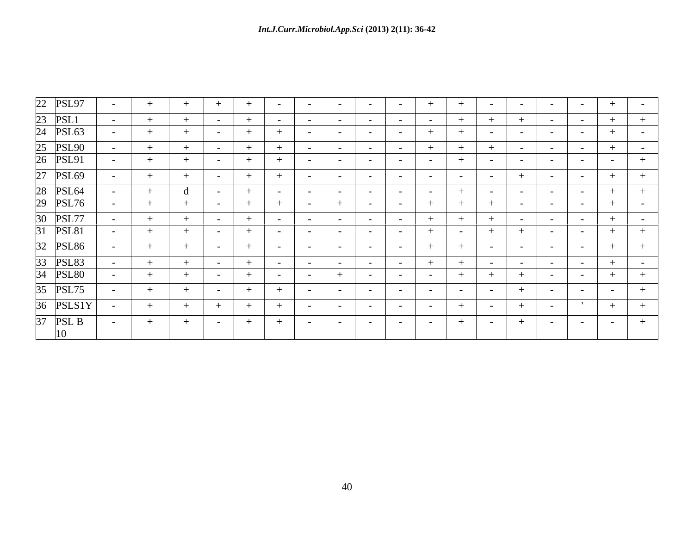| $\sim$<br>$\sim$ $\sim$<br>$\sim$ $\sim$<br>$\sim$ $-$<br>$\sim$<br>$-$<br><b>Contract Contract</b><br>$\sim$ $-$<br><b>Service</b> State<br>$+$<br>$\sim$ $-$<br><b>Contract Contract</b><br><b>Service</b> State<br>$\sim$ $  -$ |
|------------------------------------------------------------------------------------------------------------------------------------------------------------------------------------------------------------------------------------|
|                                                                                                                                                                                                                                    |
|                                                                                                                                                                                                                                    |
|                                                                                                                                                                                                                                    |
|                                                                                                                                                                                                                                    |
|                                                                                                                                                                                                                                    |
|                                                                                                                                                                                                                                    |
|                                                                                                                                                                                                                                    |
|                                                                                                                                                                                                                                    |
|                                                                                                                                                                                                                                    |
|                                                                                                                                                                                                                                    |
|                                                                                                                                                                                                                                    |
|                                                                                                                                                                                                                                    |
|                                                                                                                                                                                                                                    |
|                                                                                                                                                                                                                                    |
|                                                                                                                                                                                                                                    |
|                                                                                                                                                                                                                                    |
|                                                                                                                                                                                                                                    |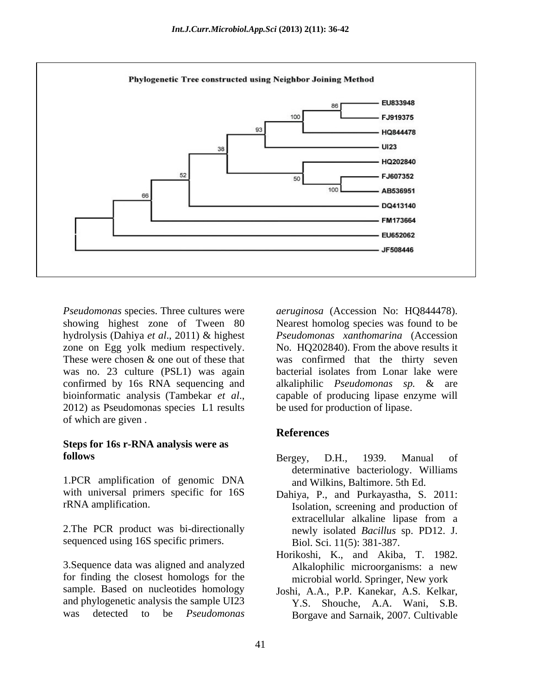

hydrolysis (Dahiya *et al*., 2011) & highest was no. 23 culture (PSL1) was again bacterial isolates from Lonar lake were 2012) as Pseudomonas species L1 results of which are given .

# **Steps for 16s r-RNA analysis were as**

1.PCR amplification of genomic DNA with universal primers specific for 16S Dahiya, P., and Purkayastha, S. 2011:

2.The PCR product was bi-directionally sequenced using 16S specific primers.

3.Sequence data was aligned and analyzed for finding the closest homologs for the sample. Based on nucleotides homology Joshi, A.A., P.P. Kanekar, A.S. Kelkar, and phylogenetic analysis the sample UI23 Y.S. Shouche, A.A. Wani, S.B.

*Pseudomonas* species. Three cultures were *aeruginosa* (Accession No: HQ844478). showing highest zone of Tween 80 Nearest homolog species was found to be zone on Egg yolk medium respectively. No. HQ202840). From the above results it These were chosen & one out of these that was confirmed that the thirty seven confirmed by 16s RNA sequencing and alkaliphilic *Pseudomonas sp.* & are bioinformatic analysis (Tambekar *et al*., capable of producing lipase enzyme will *Pseudomonas xanthomarina* (Accession bacterial isolates from Lonar lake were be used for production of lipase.

# **References**

- **follows** Bergey, D.H., 1939. Manual of determinative bacteriology. Williams and Wilkins, Baltimore. 5th Ed.
- rRNA amplification. Isolation, screening and production of extracellular alkaline lipase from a newly isolated *Bacillus* sp. PD12. J. Biol. Sci. 11(5): 381-387.
	- Horikoshi, K., and Akiba, T. 1982. Alkalophilic microorganisms: a new microbial world. Springer, New york
- was detected to be *Pseudomonas*  Borgave and Sarnaik, 2007. Cultivable